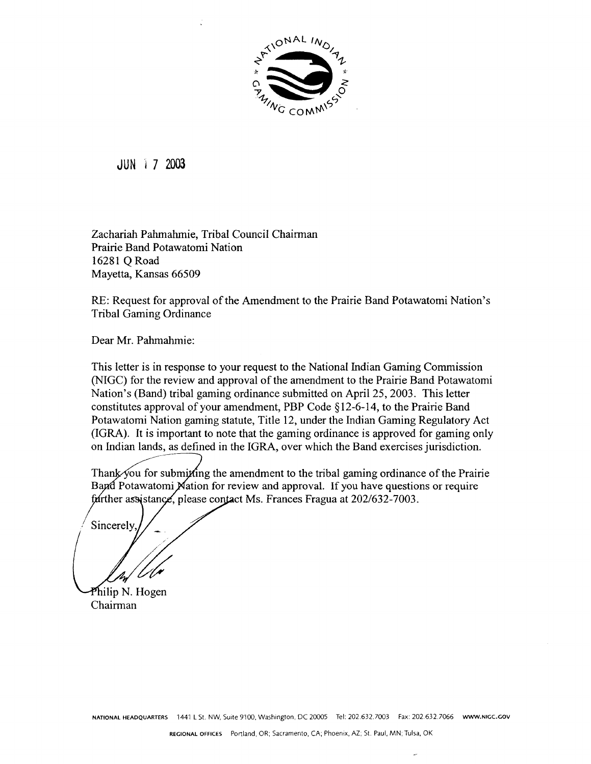

**JUN 17 2003** 

Zachariah Pahmahmie, Tribal Council Chairman Prairie Band Potawatomi Nation 16281 Q Road Mayetta, Kansas 66509

RE: Request for approval of the Amendment to the Prairie Band Potawatomi Nation's **Tribal Gaming Ordinance** 

Dear Mr. Pahmahmie:

This letter is in response to your request to the National Indian Gaming Commission (NIGC) for the review and approval of the amendment to the Prairie Band Potawatomi Nation's (Band) tribal gaming ordinance submitted on April 25, 2003. This letter constitutes approval of your amendment, PBP Code  $\S$ 12-6-14, to the Prairie Band Potawatomi Nation gaming statute, Title 12, under the Indian Gaming Regulatory Act (IGRA). It is important to note that the gaming ordinance is approved for gaming only on Indian lands, as defined in the IGRA, over which the Band exercises jurisdiction.

Thank you for submitting the amendment to the tribal gaming ordinance of the Prairie Band Potawatomi Nation for review and approval. If you have questions or require further assistance, please contact Ms. Frances Fragua at 202/632-7003.

Sincerely

Philip N. Hogen Chairman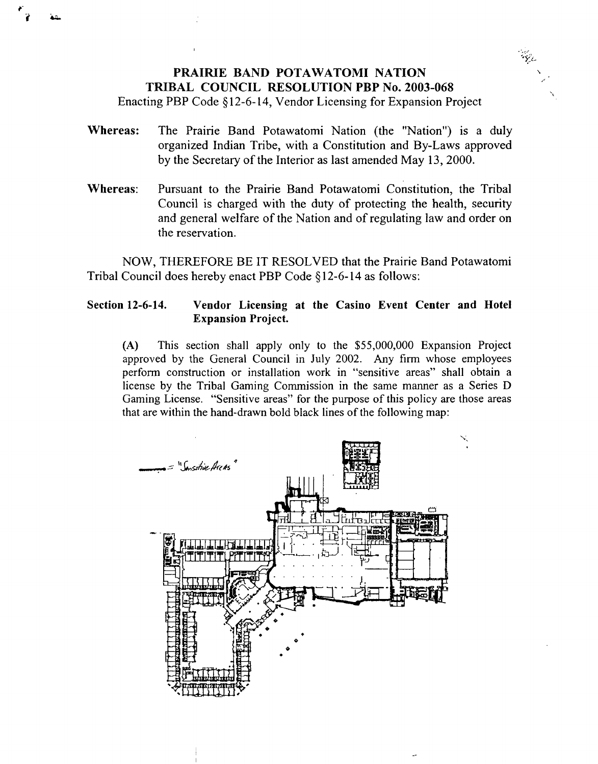## **PRAIRIE BAND POTAWATOMI NATION TRIBAL COUNCIL RESOLUTION PBP No. 2003-068**

**Enacting PBP Code § 12-6-14, Vendor Licensing for Expansion Project**

- **Whereas: The Prairie Band Potawatomi Nation (the Nation) is <sup>a</sup> duly organized Indian Tribe, with <sup>a</sup> Constitution and By-Laws approved by the Secretary of the Interior as last amended May 13, 2000.**
- **Whereas: Pursuant to the Prairie Band Potawatomi Constitution, the Tribal Council is charged with the duty of protecting the health, security and general welfare of the Nation and of regulating law and order on the reservation.**

**NOW, THEREFORE BE IT RESOLVED that the Prairie Band Potawatomi Tribal Council does hereby enact PBP Code § 12-6-14 as follows:**

## **Section 12-6-14. Vendor Licensing at the Casino Event Center and Hotel Expansion Project.**

**(A) This section shall apply only to the \$55,000,000 Expansion Project approved by the General Council in July 2002. Any firm whose employees perform construction or installation work in sensitive areas shall obtain <sup>a</sup> license by the Tribal Gaming Commission in the same manner as <sup>a</sup> Series D Gaming License. Sensitive areas for the purpose of this policy are those areas that are within the hand-drawn bold black lines of the following map:**



**I. 4~-**